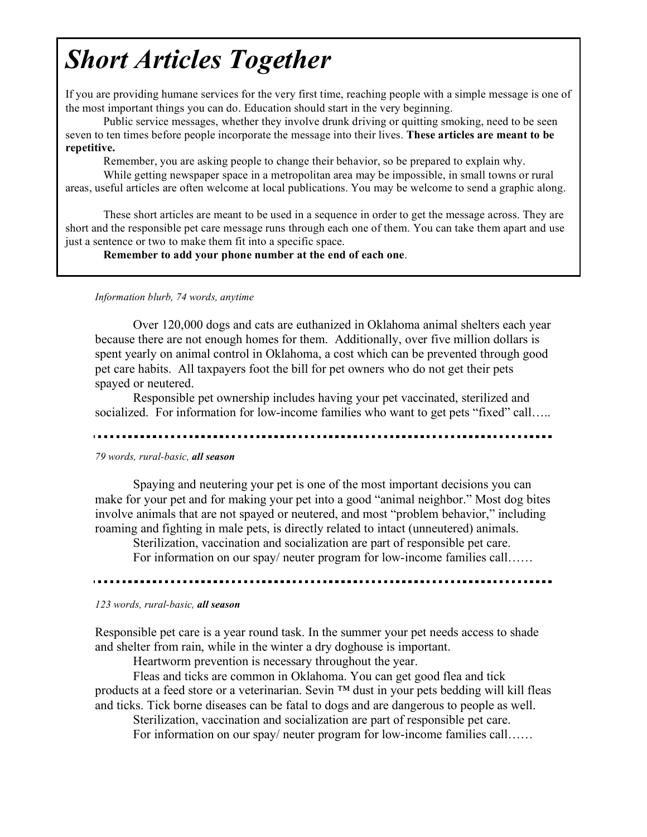# *Short Articles Together*

If you are providing humane services for the very first time, reaching people with a simple message is one of the most important things you can do. Education should start in the very beginning.

Public service messages, whether they involve drunk driving or quitting smoking, need to be seen seven to ten times before people incorporate the message into their lives. **These articles are meant to be repetitive.**

Remember, you are asking people to change their behavior, so be prepared to explain why.

While getting newspaper space in a metropolitan area may be impossible, in small towns or rural areas, useful articles are often welcome at local publications. You may be welcome to send a graphic along.

These short articles are meant to be used in a sequence in order to get the message across. They are short and the responsible pet care message runs through each one of them. You can take them apart and use just a sentence or two to make them fit into a specific space.

**Remember to add your phone number at the end of each one**.

### *Information blurb, 74 words, anytime*

Over 120,000 dogs and cats are euthanized in Oklahoma animal shelters each year because there are not enough homes for them. Additionally, over five million dollars is spent yearly on animal control in Oklahoma, a cost which can be prevented through good pet care habits. All taxpayers foot the bill for pet owners who do not get their pets spayed or neutered.

Responsible pet ownership includes having your pet vaccinated, sterilized and socialized. For information for low-income families who want to get pets "fixed" call…..

### *79 words, rural-basic, all season*

Spaying and neutering your pet is one of the most important decisions you can make for your pet and for making your pet into a good "animal neighbor." Most dog bites involve animals that are not spayed or neutered, and most "problem behavior," including roaming and fighting in male pets, is directly related to intact (unneutered) animals.

Sterilization, vaccination and socialization are part of responsible pet care. For information on our spay/ neuter program for low-income families call……

### *123 words, rural-basic, all season*

Responsible pet care is a year round task. In the summer your pet needs access to shade and shelter from rain, while in the winter a dry doghouse is important.

Heartworm prevention is necessary throughout the year.

Fleas and ticks are common in Oklahoma. You can get good flea and tick products at a feed store or a veterinarian. Sevin <sup>™</sup> dust in your pets bedding will kill fleas and ticks. Tick borne diseases can be fatal to dogs and are dangerous to people as well.

Sterilization, vaccination and socialization are part of responsible pet care.

For information on our spay/ neuter program for low-income families call……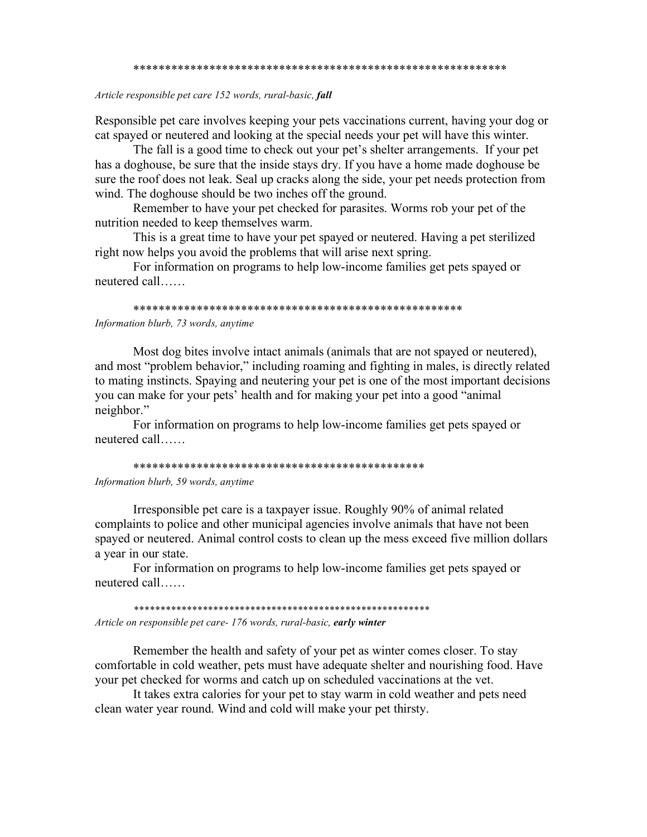#### 

#### Article responsible pet care 152 words, rural-basic, fall

Responsible pet care involves keeping your pets vaccinations current, having your dog or cat spayed or neutered and looking at the special needs your pet will have this winter.

The fall is a good time to check out your pet's shelter arrangements. If your pet has a doghouse, be sure that the inside stays dry. If you have a home made doghouse be sure the roof does not leak. Seal up cracks along the side, your pet needs protection from wind. The doghouse should be two inches off the ground.

Remember to have your pet checked for parasites. Worms rob your pet of the nutrition needed to keep themselves warm.

This is a great time to have your pet spayed or neutered. Having a pet sterilized right now helps you avoid the problems that will arise next spring.

For information on programs to help low-income families get pets spayed or neutered call......

#### 

Information blurb, 73 words, anytime

Most dog bites involve intact animals (animals that are not spayed or neutered), and most "problem behavior," including roaming and fighting in males, is directly related to mating instincts. Spaying and neutering your pet is one of the most important decisions you can make for your pets' health and for making your pet into a good "animal" neighbor."

For information on programs to help low-income families get pets spayed or neutered call.....

#### 

Information blurb, 59 words, anytime

Irresponsible pet care is a taxpayer issue. Roughly 90% of animal related complaints to police and other municipal agencies involve animals that have not been spayed or neutered. Animal control costs to clean up the mess exceed five million dollars a year in our state.

For information on programs to help low-income families get pets spayed or neutered call......

Article on responsible pet care-176 words, rural-basic, early winter

Remember the health and safety of your pet as winter comes closer. To stay comfortable in cold weather, pets must have adequate shelter and nourishing food. Have your pet checked for worms and catch up on scheduled vaccinations at the vet.

It takes extra calories for your pet to stay warm in cold weather and pets need clean water year round. Wind and cold will make your pet thirsty.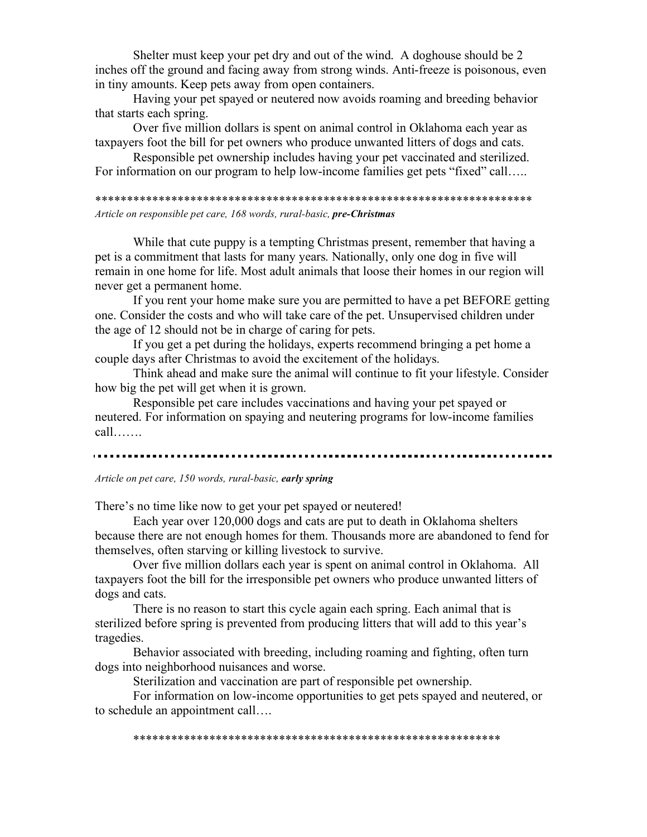Shelter must keep your pet dry and out of the wind. A doghouse should be 2 inches off the ground and facing away from strong winds. Anti-freeze is poisonous, even in tiny amounts. Keep pets away from open containers.

Having your pet spayed or neutered now avoids roaming and breeding behavior that starts each spring.

Over five million dollars is spent on animal control in Oklahoma each year as taxpayers foot the bill for pet owners who produce unwanted litters of dogs and cats.

Responsible pet ownership includes having your pet vaccinated and sterilized. For information on our program to help low-income families get pets "fixed" call…..

## \*\*\*\*\*\*\*\*\*\*\*\*\*\*\*\*\*\*\*\*\*\*\*\*\*\*\*\*\*\*\*\*\*\*\*\*\*\*\*\*\*\*\*\*\*\*\*\*\*\*\*\*\*\*\*\*\*\*\*\*\*\*\*\*\*\*\*\*\* *Article on responsible pet care, 168 words, rural-basic, pre-Christmas*

While that cute puppy is a tempting Christmas present, remember that having a pet is a commitment that lasts for many years. Nationally, only one dog in five will remain in one home for life. Most adult animals that loose their homes in our region will never get a permanent home.

If you rent your home make sure you are permitted to have a pet BEFORE getting one. Consider the costs and who will take care of the pet. Unsupervised children under the age of 12 should not be in charge of caring for pets.

If you get a pet during the holidays, experts recommend bringing a pet home a couple days after Christmas to avoid the excitement of the holidays.

Think ahead and make sure the animal will continue to fit your lifestyle. Consider how big the pet will get when it is grown.

Responsible pet care includes vaccinations and having your pet spayed or neutered. For information on spaying and neutering programs for low-income families call…….

### *Article on pet care, 150 words, rural-basic, early spring*

There's no time like now to get your pet spayed or neutered!

Each year over 120,000 dogs and cats are put to death in Oklahoma shelters because there are not enough homes for them. Thousands more are abandoned to fend for themselves, often starving or killing livestock to survive.

Over five million dollars each year is spent on animal control in Oklahoma. All taxpayers foot the bill for the irresponsible pet owners who produce unwanted litters of dogs and cats.

There is no reason to start this cycle again each spring. Each animal that is sterilized before spring is prevented from producing litters that will add to this year's tragedies.

Behavior associated with breeding, including roaming and fighting, often turn dogs into neighborhood nuisances and worse.

Sterilization and vaccination are part of responsible pet ownership.

For information on low-income opportunities to get pets spayed and neutered, or to schedule an appointment call….

\*\*\*\*\*\*\*\*\*\*\*\*\*\*\*\*\*\*\*\*\*\*\*\*\*\*\*\*\*\*\*\*\*\*\*\*\*\*\*\*\*\*\*\*\*\*\*\*\*\*\*\*\*\*\*\*\*\*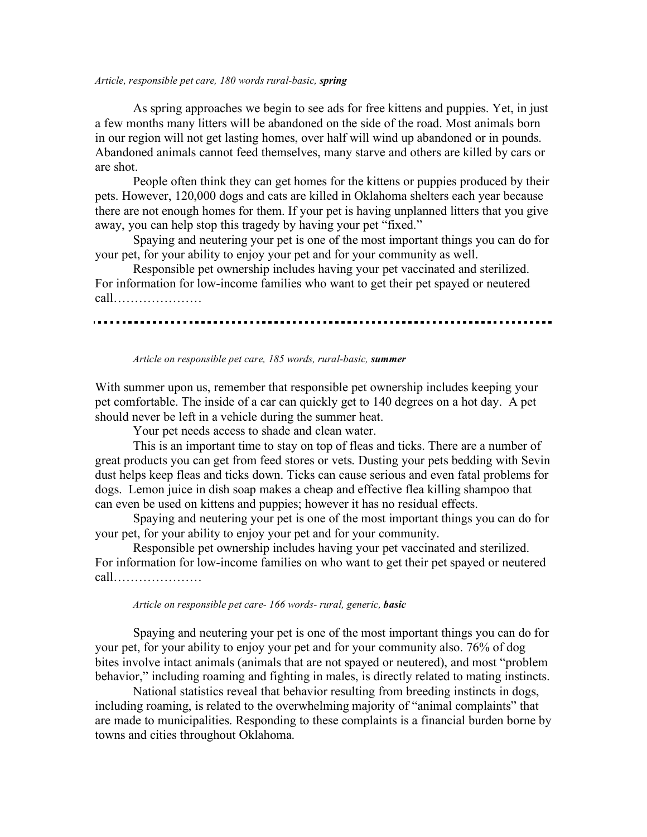#### *Article, responsible pet care, 180 words rural-basic, spring*

As spring approaches we begin to see ads for free kittens and puppies. Yet, in just a few months many litters will be abandoned on the side of the road. Most animals born in our region will not get lasting homes, over half will wind up abandoned or in pounds. Abandoned animals cannot feed themselves, many starve and others are killed by cars or are shot.

People often think they can get homes for the kittens or puppies produced by their pets. However, 120,000 dogs and cats are killed in Oklahoma shelters each year because there are not enough homes for them. If your pet is having unplanned litters that you give away, you can help stop this tragedy by having your pet "fixed."

Spaying and neutering your pet is one of the most important things you can do for your pet, for your ability to enjoy your pet and for your community as well.

Responsible pet ownership includes having your pet vaccinated and sterilized. For information for low-income families who want to get their pet spayed or neutered call…………………

#### *Article on responsible pet care, 185 words, rural-basic, summer*

With summer upon us, remember that responsible pet ownership includes keeping your pet comfortable. The inside of a car can quickly get to 140 degrees on a hot day. A pet should never be left in a vehicle during the summer heat.

Your pet needs access to shade and clean water.

This is an important time to stay on top of fleas and ticks. There are a number of great products you can get from feed stores or vets. Dusting your pets bedding with Sevin dust helps keep fleas and ticks down. Ticks can cause serious and even fatal problems for dogs. Lemon juice in dish soap makes a cheap and effective flea killing shampoo that can even be used on kittens and puppies; however it has no residual effects.

Spaying and neutering your pet is one of the most important things you can do for your pet, for your ability to enjoy your pet and for your community.

Responsible pet ownership includes having your pet vaccinated and sterilized. For information for low-income families on who want to get their pet spayed or neutered call…………………

#### *Article on responsible pet care- 166 words- rural, generic, basic*

Spaying and neutering your pet is one of the most important things you can do for your pet, for your ability to enjoy your pet and for your community also. 76% of dog bites involve intact animals (animals that are not spayed or neutered), and most "problem behavior," including roaming and fighting in males, is directly related to mating instincts.

National statistics reveal that behavior resulting from breeding instincts in dogs, including roaming, is related to the overwhelming majority of "animal complaints" that are made to municipalities. Responding to these complaints is a financial burden borne by towns and cities throughout Oklahoma.